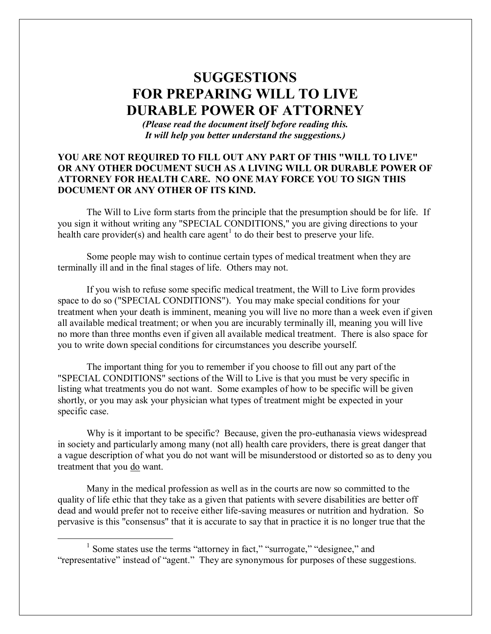# **SUGGESTIONS FOR PREPARING WILL TO LIVE DURABLE POWER OF ATTORNEY**

*(Please read the document itself before reading this. It will help you better understand the suggestions.)* 

#### **YOU ARE NOT REQUIRED TO FILL OUT ANY PART OF THIS "WILL TO LIVE" OR ANY OTHER DOCUMENT SUCH AS A LIVING WILL OR DURABLE POWER OF ATTORNEY FOR HEALTH CARE. NO ONE MAY FORCE YOU TO SIGN THIS DOCUMENT OR ANY OTHER OF ITS KIND.**

The Will to Live form starts from the principle that the presumption should be for life. If you sign it without writing any "SPECIAL CONDITIONS," you are giving directions to your health care provider(s) and health care agent<sup>1</sup> to do their best to preserve your life.

Some people may wish to continue certain types of medical treatment when they are terminally ill and in the final stages of life. Others may not.

If you wish to refuse some specific medical treatment, the Will to Live form provides space to do so ("SPECIAL CONDITIONS"). You may make special conditions for your treatment when your death is imminent, meaning you will live no more than a week even if given all available medical treatment; or when you are incurably terminally ill, meaning you will live no more than three months even if given all available medical treatment. There is also space for you to write down special conditions for circumstances you describe yourself.

The important thing for you to remember if you choose to fill out any part of the "SPECIAL CONDITIONS" sections of the Will to Live is that you must be very specific in listing what treatments you do not want. Some examples of how to be specific will be given shortly, or you may ask your physician what types of treatment might be expected in your specific case.

Why is it important to be specific? Because, given the pro-euthanasia views widespread in society and particularly among many (not all) health care providers, there is great danger that a vague description of what you do not want will be misunderstood or distorted so as to deny you treatment that you do want.

Many in the medical profession as well as in the courts are now so committed to the quality of life ethic that they take as a given that patients with severe disabilities are better off dead and would prefer not to receive either life-saving measures or nutrition and hydration. So pervasive is this "consensus" that it is accurate to say that in practice it is no longer true that the

 $\overline{a}$ 

<sup>&</sup>lt;sup>1</sup> Some states use the terms "attorney in fact," "surrogate," "designee," and "representative" instead of "agent." They are synonymous for purposes of these suggestions.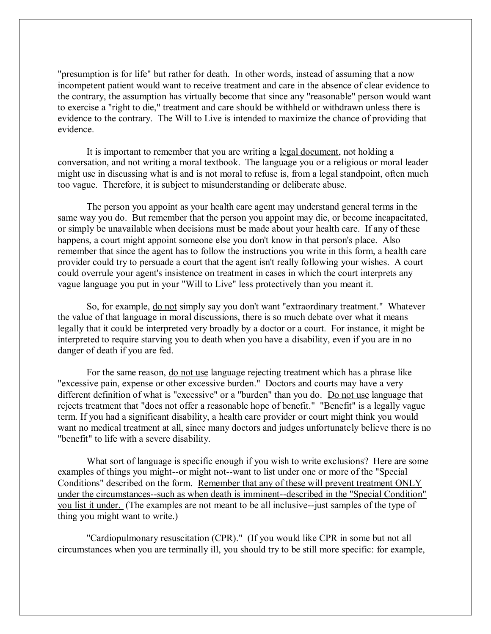"presumption is for life" but rather for death. In other words, instead of assuming that a now incompetent patient would want to receive treatment and care in the absence of clear evidence to the contrary, the assumption has virtually become that since any "reasonable" person would want to exercise a "right to die," treatment and care should be withheld or withdrawn unless there is evidence to the contrary. The Will to Live is intended to maximize the chance of providing that evidence.

It is important to remember that you are writing a legal document, not holding a conversation, and not writing a moral textbook. The language you or a religious or moral leader might use in discussing what is and is not moral to refuse is, from a legal standpoint, often much too vague. Therefore, it is subject to misunderstanding or deliberate abuse.

The person you appoint as your health care agent may understand general terms in the same way you do. But remember that the person you appoint may die, or become incapacitated, or simply be unavailable when decisions must be made about your health care. If any of these happens, a court might appoint someone else you don't know in that person's place. Also remember that since the agent has to follow the instructions you write in this form, a health care provider could try to persuade a court that the agent isn't really following your wishes. A court could overrule your agent's insistence on treatment in cases in which the court interprets any vague language you put in your "Will to Live" less protectively than you meant it.

So, for example, do not simply say you don't want "extraordinary treatment." Whatever the value of that language in moral discussions, there is so much debate over what it means legally that it could be interpreted very broadly by a doctor or a court. For instance, it might be interpreted to require starving you to death when you have a disability, even if you are in no danger of death if you are fed.

For the same reason, do not use language rejecting treatment which has a phrase like "excessive pain, expense or other excessive burden." Doctors and courts may have a very different definition of what is "excessive" or a "burden" than you do. Do not use language that rejects treatment that "does not offer a reasonable hope of benefit." "Benefit" is a legally vague term. If you had a significant disability, a health care provider or court might think you would want no medical treatment at all, since many doctors and judges unfortunately believe there is no "benefit" to life with a severe disability.

What sort of language is specific enough if you wish to write exclusions? Here are some examples of things you might--or might not--want to list under one or more of the "Special Conditions" described on the form. Remember that any of these will prevent treatment ONLY under the circumstances--such as when death is imminent--described in the "Special Condition" you list it under. (The examples are not meant to be all inclusive--just samples of the type of thing you might want to write.)

"Cardiopulmonary resuscitation (CPR)." (If you would like CPR in some but not all circumstances when you are terminally ill, you should try to be still more specific: for example,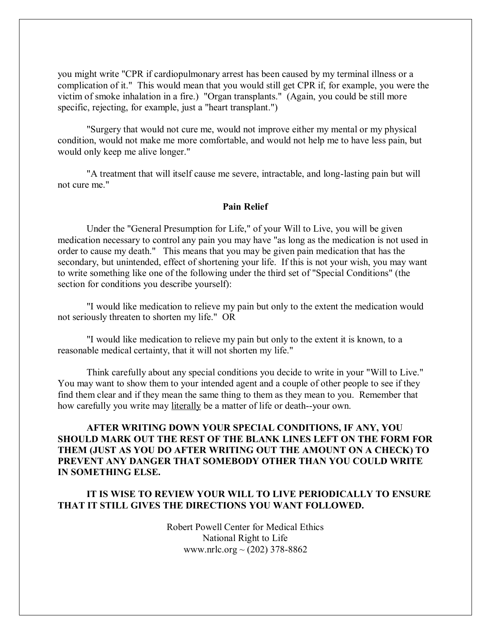you might write "CPR if cardiopulmonary arrest has been caused by my terminal illness or a complication of it." This would mean that you would still get CPR if, for example, you were the victim of smoke inhalation in a fire.) "Organ transplants." (Again, you could be still more specific, rejecting, for example, just a "heart transplant.")

"Surgery that would not cure me, would not improve either my mental or my physical condition, would not make me more comfortable, and would not help me to have less pain, but would only keep me alive longer."

"A treatment that will itself cause me severe, intractable, and long-lasting pain but will not cure me."

#### **Pain Relief**

Under the "General Presumption for Life," of your Will to Live, you will be given medication necessary to control any pain you may have "as long as the medication is not used in order to cause my death." This means that you may be given pain medication that has the secondary, but unintended, effect of shortening your life. If this is not your wish, you may want to write something like one of the following under the third set of "Special Conditions" (the section for conditions you describe yourself):

"I would like medication to relieve my pain but only to the extent the medication would not seriously threaten to shorten my life." OR

"I would like medication to relieve my pain but only to the extent it is known, to a reasonable medical certainty, that it will not shorten my life."

Think carefully about any special conditions you decide to write in your "Will to Live." You may want to show them to your intended agent and a couple of other people to see if they find them clear and if they mean the same thing to them as they mean to you. Remember that how carefully you write may literally be a matter of life or death--your own.

#### **AFTER WRITING DOWN YOUR SPECIAL CONDITIONS, IF ANY, YOU SHOULD MARK OUT THE REST OF THE BLANK LINES LEFT ON THE FORM FOR THEM (JUST AS YOU DO AFTER WRITING OUT THE AMOUNT ON A CHECK) TO PREVENT ANY DANGER THAT SOMEBODY OTHER THAN YOU COULD WRITE IN SOMETHING ELSE.**

#### **IT IS WISE TO REVIEW YOUR WILL TO LIVE PERIODICALLY TO ENSURE THAT IT STILL GIVES THE DIRECTIONS YOU WANT FOLLOWED.**

Robert Powell Center for Medical Ethics National Right to Life www.nrlc.org  $\sim$  (202) 378-8862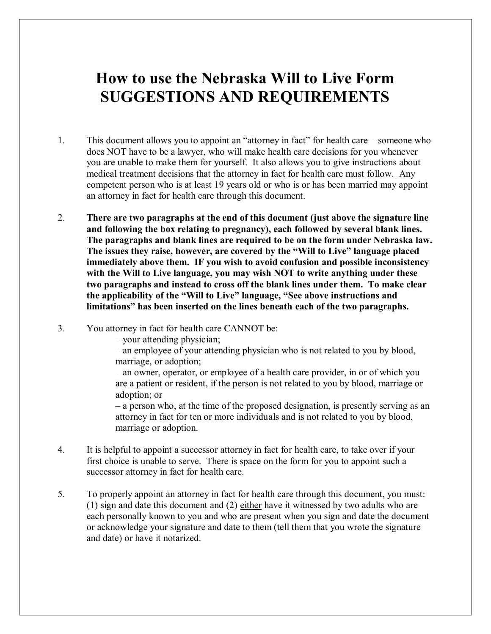# **How to use the Nebraska Will to Live Form SUGGESTIONS AND REQUIREMENTS**

- 1. This document allows you to appoint an "attorney in fact" for health care someone who does NOT have to be a lawyer, who will make health care decisions for you whenever you are unable to make them for yourself. It also allows you to give instructions about medical treatment decisions that the attorney in fact for health care must follow. Any competent person who is at least 19 years old or who is or has been married may appoint an attorney in fact for health care through this document.
- 2. **There are two paragraphs at the end of this document (just above the signature line and following the box relating to pregnancy), each followed by several blank lines. The paragraphs and blank lines are required to be on the form under Nebraska law. The issues they raise, however, are covered by the "Will to Live" language placed immediately above them. IF you wish to avoid confusion and possible inconsistency with the Will to Live language, you may wish NOT to write anything under these two paragraphs and instead to cross off the blank lines under them. To make clear the applicability of the "Will to Live" language, "See above instructions and limitations" has been inserted on the lines beneath each of the two paragraphs.**
- 3. You attorney in fact for health care CANNOT be:
	- your attending physician;

– an employee of your attending physician who is not related to you by blood, marriage, or adoption;

– an owner, operator, or employee of a health care provider, in or of which you are a patient or resident, if the person is not related to you by blood, marriage or adoption; or

– a person who, at the time of the proposed designation, is presently serving as an attorney in fact for ten or more individuals and is not related to you by blood, marriage or adoption.

- 4. It is helpful to appoint a successor attorney in fact for health care, to take over if your first choice is unable to serve. There is space on the form for you to appoint such a successor attorney in fact for health care.
- 5. To properly appoint an attorney in fact for health care through this document, you must: (1) sign and date this document and (2) either have it witnessed by two adults who are each personally known to you and who are present when you sign and date the document or acknowledge your signature and date to them (tell them that you wrote the signature and date) or have it notarized.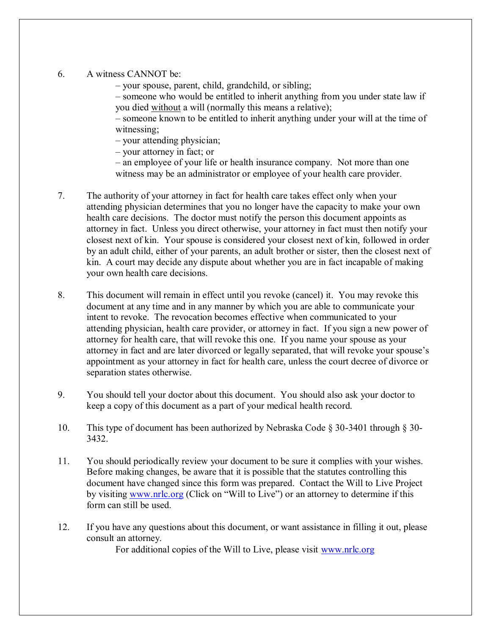#### 6. A witness CANNOT be:

– your spouse, parent, child, grandchild, or sibling;

– someone who would be entitled to inherit anything from you under state law if you died without a will (normally this means a relative);

– someone known to be entitled to inherit anything under your will at the time of witnessing;

– your attending physician;

– your attorney in fact; or

– an employee of your life or health insurance company. Not more than one witness may be an administrator or employee of your health care provider.

- 7. The authority of your attorney in fact for health care takes effect only when your attending physician determines that you no longer have the capacity to make your own health care decisions. The doctor must notify the person this document appoints as attorney in fact. Unless you direct otherwise, your attorney in fact must then notify your closest next of kin. Your spouse is considered your closest next of kin, followed in order by an adult child, either of your parents, an adult brother or sister, then the closest next of kin. A court may decide any dispute about whether you are in fact incapable of making your own health care decisions.
- 8. This document will remain in effect until you revoke (cancel) it. You may revoke this document at any time and in any manner by which you are able to communicate your intent to revoke. The revocation becomes effective when communicated to your attending physician, health care provider, or attorney in fact. If you sign a new power of attorney for health care, that will revoke this one. If you name your spouse as your attorney in fact and are later divorced or legally separated, that will revoke your spouse's appointment as your attorney in fact for health care, unless the court decree of divorce or separation states otherwise.
- 9. You should tell your doctor about this document. You should also ask your doctor to keep a copy of this document as a part of your medical health record.
- 10. This type of document has been authorized by Nebraska Code § 30-3401 through § 30- 3432.
- 11. You should periodically review your document to be sure it complies with your wishes. Before making changes, be aware that it is possible that the statutes controlling this document have changed since this form was prepared. Contact the Will to Live Project by visiting [www.nrlc.org](http://www.nrlc.org/) (Click on "Will to Live") or an attorney to determine if this form can still be used.
- 12. If you have any questions about this document, or want assistance in filling it out, please consult an attorney.

For additional copies of the Will to Live, please visit [www.nrlc.org](http://www.nrlc.org/)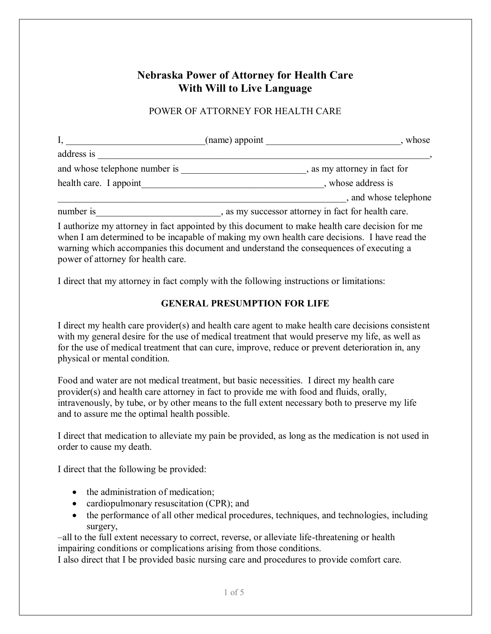# **Nebraska Power of Attorney for Health Care With Will to Live Language**

# POWER OF ATTORNEY FOR HEALTH CARE

|                               | (name) appoint | whose .                                             |
|-------------------------------|----------------|-----------------------------------------------------|
| address is                    |                |                                                     |
| and whose telephone number is |                | , as my attorney in fact for                        |
| health care. I appoint        |                | , whose address is                                  |
|                               |                | and whose telephone                                 |
| number is                     |                | , as my successor attorney in fact for health care. |

I authorize my attorney in fact appointed by this document to make health care decision for me when I am determined to be incapable of making my own health care decisions. I have read the warning which accompanies this document and understand the consequences of executing a power of attorney for health care.

I direct that my attorney in fact comply with the following instructions or limitations:

# **GENERAL PRESUMPTION FOR LIFE**

I direct my health care provider(s) and health care agent to make health care decisions consistent with my general desire for the use of medical treatment that would preserve my life, as well as for the use of medical treatment that can cure, improve, reduce or prevent deterioration in, any physical or mental condition.

Food and water are not medical treatment, but basic necessities. I direct my health care provider(s) and health care attorney in fact to provide me with food and fluids, orally, intravenously, by tube, or by other means to the full extent necessary both to preserve my life and to assure me the optimal health possible.

I direct that medication to alleviate my pain be provided, as long as the medication is not used in order to cause my death.

I direct that the following be provided:

- the administration of medication;
- cardiopulmonary resuscitation (CPR); and
- the performance of all other medical procedures, techniques, and technologies, including surgery,

–all to the full extent necessary to correct, reverse, or alleviate life-threatening or health impairing conditions or complications arising from those conditions.

I also direct that I be provided basic nursing care and procedures to provide comfort care.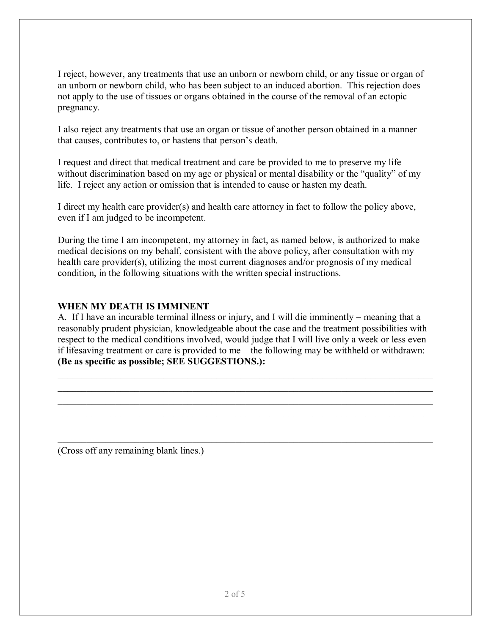I reject, however, any treatments that use an unborn or newborn child, or any tissue or organ of an unborn or newborn child, who has been subject to an induced abortion. This rejection does not apply to the use of tissues or organs obtained in the course of the removal of an ectopic pregnancy.

I also reject any treatments that use an organ or tissue of another person obtained in a manner that causes, contributes to, or hastens that person's death.

I request and direct that medical treatment and care be provided to me to preserve my life without discrimination based on my age or physical or mental disability or the "quality" of my life. I reject any action or omission that is intended to cause or hasten my death.

I direct my health care provider(s) and health care attorney in fact to follow the policy above, even if I am judged to be incompetent.

During the time I am incompetent, my attorney in fact, as named below, is authorized to make medical decisions on my behalf, consistent with the above policy, after consultation with my health care provider(s), utilizing the most current diagnoses and/or prognosis of my medical condition, in the following situations with the written special instructions.

#### **WHEN MY DEATH IS IMMINENT**

A. If I have an incurable terminal illness or injury, and I will die imminently – meaning that a reasonably prudent physician, knowledgeable about the case and the treatment possibilities with respect to the medical conditions involved, would judge that I will live only a week or less even if lifesaving treatment or care is provided to me – the following may be withheld or withdrawn: **(Be as specific as possible; SEE SUGGESTIONS.):** 

 $\mathcal{L}_\mathcal{L} = \{ \mathcal{L}_\mathcal{L} = \{ \mathcal{L}_\mathcal{L} = \{ \mathcal{L}_\mathcal{L} = \{ \mathcal{L}_\mathcal{L} = \{ \mathcal{L}_\mathcal{L} = \{ \mathcal{L}_\mathcal{L} = \{ \mathcal{L}_\mathcal{L} = \{ \mathcal{L}_\mathcal{L} = \{ \mathcal{L}_\mathcal{L} = \{ \mathcal{L}_\mathcal{L} = \{ \mathcal{L}_\mathcal{L} = \{ \mathcal{L}_\mathcal{L} = \{ \mathcal{L}_\mathcal{L} = \{ \mathcal{L}_\mathcal{$  $\mathcal{L}_\mathcal{L} = \{ \mathcal{L}_\mathcal{L} = \{ \mathcal{L}_\mathcal{L} = \{ \mathcal{L}_\mathcal{L} = \{ \mathcal{L}_\mathcal{L} = \{ \mathcal{L}_\mathcal{L} = \{ \mathcal{L}_\mathcal{L} = \{ \mathcal{L}_\mathcal{L} = \{ \mathcal{L}_\mathcal{L} = \{ \mathcal{L}_\mathcal{L} = \{ \mathcal{L}_\mathcal{L} = \{ \mathcal{L}_\mathcal{L} = \{ \mathcal{L}_\mathcal{L} = \{ \mathcal{L}_\mathcal{L} = \{ \mathcal{L}_\mathcal{$  $\mathcal{L}_\mathcal{L} = \{ \mathcal{L}_\mathcal{L} = \{ \mathcal{L}_\mathcal{L} = \{ \mathcal{L}_\mathcal{L} = \{ \mathcal{L}_\mathcal{L} = \{ \mathcal{L}_\mathcal{L} = \{ \mathcal{L}_\mathcal{L} = \{ \mathcal{L}_\mathcal{L} = \{ \mathcal{L}_\mathcal{L} = \{ \mathcal{L}_\mathcal{L} = \{ \mathcal{L}_\mathcal{L} = \{ \mathcal{L}_\mathcal{L} = \{ \mathcal{L}_\mathcal{L} = \{ \mathcal{L}_\mathcal{L} = \{ \mathcal{L}_\mathcal{$  $\mathcal{L}_\mathcal{L} = \{ \mathcal{L}_\mathcal{L} = \{ \mathcal{L}_\mathcal{L} = \{ \mathcal{L}_\mathcal{L} = \{ \mathcal{L}_\mathcal{L} = \{ \mathcal{L}_\mathcal{L} = \{ \mathcal{L}_\mathcal{L} = \{ \mathcal{L}_\mathcal{L} = \{ \mathcal{L}_\mathcal{L} = \{ \mathcal{L}_\mathcal{L} = \{ \mathcal{L}_\mathcal{L} = \{ \mathcal{L}_\mathcal{L} = \{ \mathcal{L}_\mathcal{L} = \{ \mathcal{L}_\mathcal{L} = \{ \mathcal{L}_\mathcal{$  $\mathcal{L}_\mathcal{L} = \{ \mathcal{L}_\mathcal{L} = \{ \mathcal{L}_\mathcal{L} = \{ \mathcal{L}_\mathcal{L} = \{ \mathcal{L}_\mathcal{L} = \{ \mathcal{L}_\mathcal{L} = \{ \mathcal{L}_\mathcal{L} = \{ \mathcal{L}_\mathcal{L} = \{ \mathcal{L}_\mathcal{L} = \{ \mathcal{L}_\mathcal{L} = \{ \mathcal{L}_\mathcal{L} = \{ \mathcal{L}_\mathcal{L} = \{ \mathcal{L}_\mathcal{L} = \{ \mathcal{L}_\mathcal{L} = \{ \mathcal{L}_\mathcal{$  $\mathcal{L}_\mathcal{L} = \{ \mathcal{L}_\mathcal{L} = \{ \mathcal{L}_\mathcal{L} = \{ \mathcal{L}_\mathcal{L} = \{ \mathcal{L}_\mathcal{L} = \{ \mathcal{L}_\mathcal{L} = \{ \mathcal{L}_\mathcal{L} = \{ \mathcal{L}_\mathcal{L} = \{ \mathcal{L}_\mathcal{L} = \{ \mathcal{L}_\mathcal{L} = \{ \mathcal{L}_\mathcal{L} = \{ \mathcal{L}_\mathcal{L} = \{ \mathcal{L}_\mathcal{L} = \{ \mathcal{L}_\mathcal{L} = \{ \mathcal{L}_\mathcal{$ 

(Cross off any remaining blank lines.)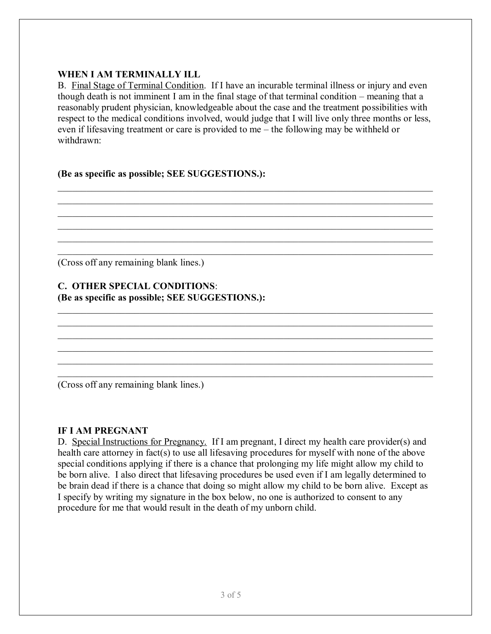#### **WHEN I AM TERMINALLY ILL**

B. Final Stage of Terminal Condition. If I have an incurable terminal illness or injury and even though death is not imminent I am in the final stage of that terminal condition – meaning that a reasonably prudent physician, knowledgeable about the case and the treatment possibilities with respect to the medical conditions involved, would judge that I will live only three months or less, even if lifesaving treatment or care is provided to me – the following may be withheld or withdrawn:

 $\mathcal{L}_\mathcal{L} = \{ \mathcal{L}_\mathcal{L} = \{ \mathcal{L}_\mathcal{L} = \{ \mathcal{L}_\mathcal{L} = \{ \mathcal{L}_\mathcal{L} = \{ \mathcal{L}_\mathcal{L} = \{ \mathcal{L}_\mathcal{L} = \{ \mathcal{L}_\mathcal{L} = \{ \mathcal{L}_\mathcal{L} = \{ \mathcal{L}_\mathcal{L} = \{ \mathcal{L}_\mathcal{L} = \{ \mathcal{L}_\mathcal{L} = \{ \mathcal{L}_\mathcal{L} = \{ \mathcal{L}_\mathcal{L} = \{ \mathcal{L}_\mathcal{$  $\mathcal{L}_\mathcal{L} = \{ \mathcal{L}_\mathcal{L} = \{ \mathcal{L}_\mathcal{L} = \{ \mathcal{L}_\mathcal{L} = \{ \mathcal{L}_\mathcal{L} = \{ \mathcal{L}_\mathcal{L} = \{ \mathcal{L}_\mathcal{L} = \{ \mathcal{L}_\mathcal{L} = \{ \mathcal{L}_\mathcal{L} = \{ \mathcal{L}_\mathcal{L} = \{ \mathcal{L}_\mathcal{L} = \{ \mathcal{L}_\mathcal{L} = \{ \mathcal{L}_\mathcal{L} = \{ \mathcal{L}_\mathcal{L} = \{ \mathcal{L}_\mathcal{$  $\mathcal{L}_\mathcal{L} = \{ \mathcal{L}_\mathcal{L} = \{ \mathcal{L}_\mathcal{L} = \{ \mathcal{L}_\mathcal{L} = \{ \mathcal{L}_\mathcal{L} = \{ \mathcal{L}_\mathcal{L} = \{ \mathcal{L}_\mathcal{L} = \{ \mathcal{L}_\mathcal{L} = \{ \mathcal{L}_\mathcal{L} = \{ \mathcal{L}_\mathcal{L} = \{ \mathcal{L}_\mathcal{L} = \{ \mathcal{L}_\mathcal{L} = \{ \mathcal{L}_\mathcal{L} = \{ \mathcal{L}_\mathcal{L} = \{ \mathcal{L}_\mathcal{$  $\mathcal{L}_\mathcal{L} = \{ \mathcal{L}_\mathcal{L} = \{ \mathcal{L}_\mathcal{L} = \{ \mathcal{L}_\mathcal{L} = \{ \mathcal{L}_\mathcal{L} = \{ \mathcal{L}_\mathcal{L} = \{ \mathcal{L}_\mathcal{L} = \{ \mathcal{L}_\mathcal{L} = \{ \mathcal{L}_\mathcal{L} = \{ \mathcal{L}_\mathcal{L} = \{ \mathcal{L}_\mathcal{L} = \{ \mathcal{L}_\mathcal{L} = \{ \mathcal{L}_\mathcal{L} = \{ \mathcal{L}_\mathcal{L} = \{ \mathcal{L}_\mathcal{$  $\mathcal{L}_\mathcal{L} = \{ \mathcal{L}_\mathcal{L} = \{ \mathcal{L}_\mathcal{L} = \{ \mathcal{L}_\mathcal{L} = \{ \mathcal{L}_\mathcal{L} = \{ \mathcal{L}_\mathcal{L} = \{ \mathcal{L}_\mathcal{L} = \{ \mathcal{L}_\mathcal{L} = \{ \mathcal{L}_\mathcal{L} = \{ \mathcal{L}_\mathcal{L} = \{ \mathcal{L}_\mathcal{L} = \{ \mathcal{L}_\mathcal{L} = \{ \mathcal{L}_\mathcal{L} = \{ \mathcal{L}_\mathcal{L} = \{ \mathcal{L}_\mathcal{$  $\mathcal{L}_\mathcal{L} = \mathcal{L}_\mathcal{L} = \mathcal{L}_\mathcal{L} = \mathcal{L}_\mathcal{L} = \mathcal{L}_\mathcal{L} = \mathcal{L}_\mathcal{L} = \mathcal{L}_\mathcal{L} = \mathcal{L}_\mathcal{L} = \mathcal{L}_\mathcal{L} = \mathcal{L}_\mathcal{L} = \mathcal{L}_\mathcal{L} = \mathcal{L}_\mathcal{L} = \mathcal{L}_\mathcal{L} = \mathcal{L}_\mathcal{L} = \mathcal{L}_\mathcal{L} = \mathcal{L}_\mathcal{L} = \mathcal{L}_\mathcal{L}$ 

 $\mathcal{L}_\mathcal{L} = \{ \mathcal{L}_\mathcal{L} = \{ \mathcal{L}_\mathcal{L} = \{ \mathcal{L}_\mathcal{L} = \{ \mathcal{L}_\mathcal{L} = \{ \mathcal{L}_\mathcal{L} = \{ \mathcal{L}_\mathcal{L} = \{ \mathcal{L}_\mathcal{L} = \{ \mathcal{L}_\mathcal{L} = \{ \mathcal{L}_\mathcal{L} = \{ \mathcal{L}_\mathcal{L} = \{ \mathcal{L}_\mathcal{L} = \{ \mathcal{L}_\mathcal{L} = \{ \mathcal{L}_\mathcal{L} = \{ \mathcal{L}_\mathcal{$  $\mathcal{L}_\mathcal{L} = \{ \mathcal{L}_\mathcal{L} = \{ \mathcal{L}_\mathcal{L} = \{ \mathcal{L}_\mathcal{L} = \{ \mathcal{L}_\mathcal{L} = \{ \mathcal{L}_\mathcal{L} = \{ \mathcal{L}_\mathcal{L} = \{ \mathcal{L}_\mathcal{L} = \{ \mathcal{L}_\mathcal{L} = \{ \mathcal{L}_\mathcal{L} = \{ \mathcal{L}_\mathcal{L} = \{ \mathcal{L}_\mathcal{L} = \{ \mathcal{L}_\mathcal{L} = \{ \mathcal{L}_\mathcal{L} = \{ \mathcal{L}_\mathcal{$  $\mathcal{L}_\mathcal{L} = \{ \mathcal{L}_\mathcal{L} = \{ \mathcal{L}_\mathcal{L} = \{ \mathcal{L}_\mathcal{L} = \{ \mathcal{L}_\mathcal{L} = \{ \mathcal{L}_\mathcal{L} = \{ \mathcal{L}_\mathcal{L} = \{ \mathcal{L}_\mathcal{L} = \{ \mathcal{L}_\mathcal{L} = \{ \mathcal{L}_\mathcal{L} = \{ \mathcal{L}_\mathcal{L} = \{ \mathcal{L}_\mathcal{L} = \{ \mathcal{L}_\mathcal{L} = \{ \mathcal{L}_\mathcal{L} = \{ \mathcal{L}_\mathcal{$  $\mathcal{L}_\mathcal{L} = \{ \mathcal{L}_\mathcal{L} = \{ \mathcal{L}_\mathcal{L} = \{ \mathcal{L}_\mathcal{L} = \{ \mathcal{L}_\mathcal{L} = \{ \mathcal{L}_\mathcal{L} = \{ \mathcal{L}_\mathcal{L} = \{ \mathcal{L}_\mathcal{L} = \{ \mathcal{L}_\mathcal{L} = \{ \mathcal{L}_\mathcal{L} = \{ \mathcal{L}_\mathcal{L} = \{ \mathcal{L}_\mathcal{L} = \{ \mathcal{L}_\mathcal{L} = \{ \mathcal{L}_\mathcal{L} = \{ \mathcal{L}_\mathcal{$  $\mathcal{L}_\mathcal{L} = \{ \mathcal{L}_\mathcal{L} = \{ \mathcal{L}_\mathcal{L} = \{ \mathcal{L}_\mathcal{L} = \{ \mathcal{L}_\mathcal{L} = \{ \mathcal{L}_\mathcal{L} = \{ \mathcal{L}_\mathcal{L} = \{ \mathcal{L}_\mathcal{L} = \{ \mathcal{L}_\mathcal{L} = \{ \mathcal{L}_\mathcal{L} = \{ \mathcal{L}_\mathcal{L} = \{ \mathcal{L}_\mathcal{L} = \{ \mathcal{L}_\mathcal{L} = \{ \mathcal{L}_\mathcal{L} = \{ \mathcal{L}_\mathcal{$  $\mathcal{L}_\mathcal{L} = \{ \mathcal{L}_\mathcal{L} = \{ \mathcal{L}_\mathcal{L} = \{ \mathcal{L}_\mathcal{L} = \{ \mathcal{L}_\mathcal{L} = \{ \mathcal{L}_\mathcal{L} = \{ \mathcal{L}_\mathcal{L} = \{ \mathcal{L}_\mathcal{L} = \{ \mathcal{L}_\mathcal{L} = \{ \mathcal{L}_\mathcal{L} = \{ \mathcal{L}_\mathcal{L} = \{ \mathcal{L}_\mathcal{L} = \{ \mathcal{L}_\mathcal{L} = \{ \mathcal{L}_\mathcal{L} = \{ \mathcal{L}_\mathcal{$ 

#### **(Be as specific as possible; SEE SUGGESTIONS.):**

(Cross off any remaining blank lines.)

# **C. OTHER SPECIAL CONDITIONS**: **(Be as specific as possible; SEE SUGGESTIONS.):**

(Cross off any remaining blank lines.)

#### **IF I AM PREGNANT**

D. Special Instructions for Pregnancy. If I am pregnant, I direct my health care provider(s) and health care attorney in fact(s) to use all lifesaving procedures for myself with none of the above special conditions applying if there is a chance that prolonging my life might allow my child to be born alive. I also direct that lifesaving procedures be used even if I am legally determined to be brain dead if there is a chance that doing so might allow my child to be born alive. Except as I specify by writing my signature in the box below, no one is authorized to consent to any procedure for me that would result in the death of my unborn child.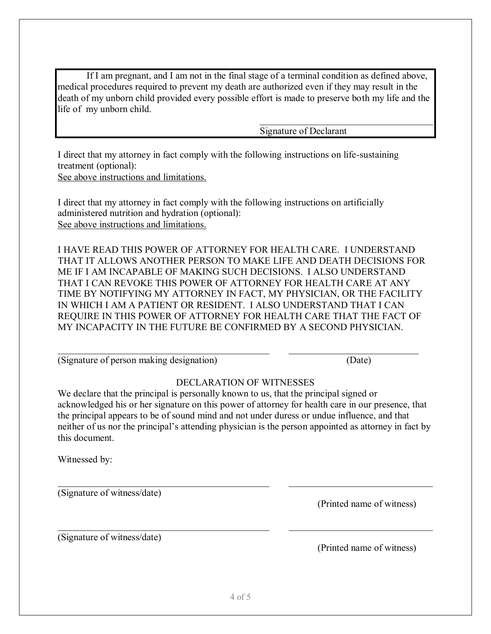If I am pregnant, and I am not in the final stage of a terminal condition as defined above, medical procedures required to prevent my death are authorized even if they may result in the death of my unborn child provided every possible effort is made to preserve both my life and the life of my unborn child.

 $\mathcal{L}_\mathcal{L} = \{ \mathcal{L}_\mathcal{L} \mid \mathcal{L}_\mathcal{L} \in \mathcal{L}_\mathcal{L} \}$ 

Signature of Declarant

I direct that my attorney in fact comply with the following instructions on life-sustaining treatment (optional):

See above instructions and limitations.

I direct that my attorney in fact comply with the following instructions on artificially administered nutrition and hydration (optional): See above instructions and limitations.

I HAVE READ THIS POWER OF ATTORNEY FOR HEALTH CARE. I UNDERSTAND THAT IT ALLOWS ANOTHER PERSON TO MAKE LIFE AND DEATH DECISIONS FOR ME IF I AM INCAPABLE OF MAKING SUCH DECISIONS. I ALSO UNDERSTAND THAT I CAN REVOKE THIS POWER OF ATTORNEY FOR HEALTH CARE AT ANY TIME BY NOTIFYING MY ATTORNEY IN FACT, MY PHYSICIAN, OR THE FACILITY IN WHICH I AM A PATIENT OR RESIDENT. I ALSO UNDERSTAND THAT I CAN REQUIRE IN THIS POWER OF ATTORNEY FOR HEALTH CARE THAT THE FACT OF MY INCAPACITY IN THE FUTURE BE CONFIRMED BY A SECOND PHYSICIAN.

(Signature of person making designation) (Date)

#### DECLARATION OF WITNESSES

 $\_$  , and the contribution of the contribution of  $\mathcal{L}_\mathcal{A}$  , and the contribution of  $\mathcal{L}_\mathcal{A}$ 

We declare that the principal is personally known to us, that the principal signed or acknowledged his or her signature on this power of attorney for health care in our presence, that the principal appears to be of sound mind and not under duress or undue influence, and that neither of us nor the principal's attending physician is the person appointed as attorney in fact by this document.

 $\mathcal{L}_\text{max}$  , and the contribution of the contribution of the contribution of the contribution of the contribution of the contribution of the contribution of the contribution of the contribution of the contribution of t

 $\mathcal{L}_\text{max}$  , and the contribution of the contribution of the contribution of the contribution of the contribution of the contribution of the contribution of the contribution of the contribution of the contribution of t

Witnessed by:

(Signature of witness/date)

(Printed name of witness)

(Signature of witness/date)

(Printed name of witness)